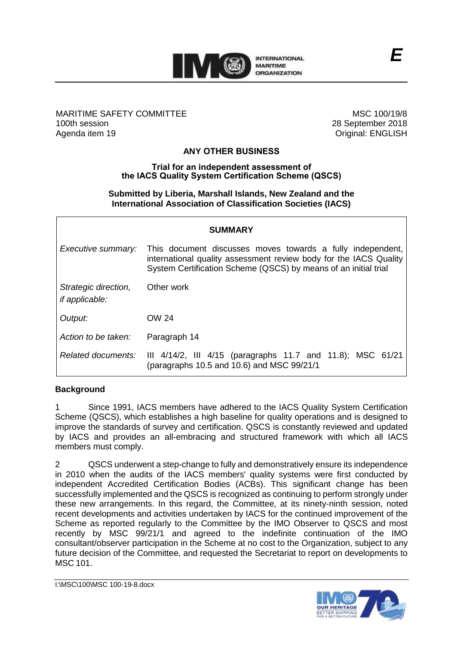

#### MARITIME SAFETY COMMITTEE 100th session Agenda item 19

MSC 100/19/8 28 September 2018 Original: ENGLISH

### **ANY OTHER BUSINESS**

#### **Trial for an independent assessment of the IACS Quality System Certification Scheme (QSCS)**

#### **Submitted by Liberia, Marshall Islands, New Zealand and the International Association of Classification Societies (IACS)**

| <b>SUMMARY</b>                                |                                                                                                                                                                                                    |
|-----------------------------------------------|----------------------------------------------------------------------------------------------------------------------------------------------------------------------------------------------------|
| Executive summary:                            | This document discusses moves towards a fully independent,<br>international quality assessment review body for the IACS Quality<br>System Certification Scheme (QSCS) by means of an initial trial |
| Strategic direction,<br><i>if applicable:</i> | Other work                                                                                                                                                                                         |
| Output:                                       | OW 24                                                                                                                                                                                              |
| Action to be taken:                           | Paragraph 14                                                                                                                                                                                       |
| Related documents:                            | III $4/14/2$ , III $4/15$ (paragraphs 11.7 and 11.8); MSC 61/21<br>(paragraphs 10.5 and 10.6) and MSC 99/21/1                                                                                      |

## **Background**

1 Since 1991, IACS members have adhered to the IACS Quality System Certification Scheme (QSCS), which establishes a high baseline for quality operations and is designed to improve the standards of survey and certification. QSCS is constantly reviewed and updated by IACS and provides an all-embracing and structured framework with which all IACS members must comply.

2 QSCS underwent a step-change to fully and demonstratively ensure its independence in 2010 when the audits of the IACS members' quality systems were first conducted by independent Accredited Certification Bodies (ACBs). This significant change has been successfully implemented and the QSCS is recognized as continuing to perform strongly under these new arrangements. In this regard, the Committee, at its ninety-ninth session, noted recent developments and activities undertaken by IACS for the continued improvement of the Scheme as reported regularly to the Committee by the IMO Observer to QSCS and most recently by MSC 99/21/1 and agreed to the indefinite continuation of the IMO consultant/observer participation in the Scheme at no cost to the Organization, subject to any future decision of the Committee, and requested the Secretariat to report on developments to MSC 101.

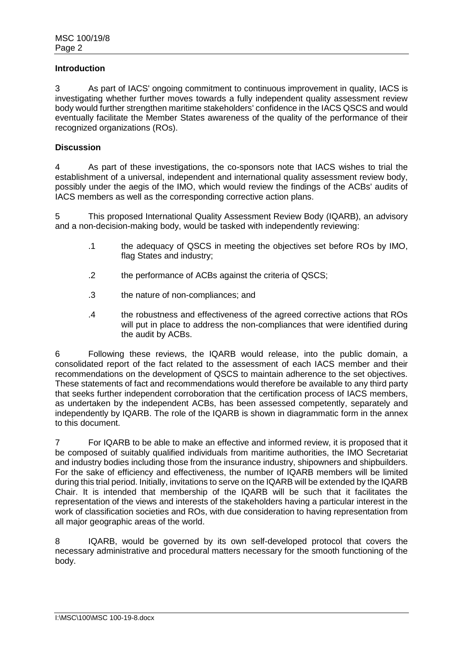#### **Introduction**

3 As part of IACS' ongoing commitment to continuous improvement in quality, IACS is investigating whether further moves towards a fully independent quality assessment review body would further strengthen maritime stakeholders' confidence in the IACS QSCS and would eventually facilitate the Member States awareness of the quality of the performance of their recognized organizations (ROs).

#### **Discussion**

4 As part of these investigations, the co-sponsors note that IACS wishes to trial the establishment of a universal, independent and international quality assessment review body, possibly under the aegis of the IMO, which would review the findings of the ACBs' audits of IACS members as well as the corresponding corrective action plans.

5 This proposed International Quality Assessment Review Body (IQARB), an advisory and a non-decision-making body, would be tasked with independently reviewing:

- .1 the adequacy of QSCS in meeting the objectives set before ROs by IMO, flag States and industry;
- .2 the performance of ACBs against the criteria of QSCS;
- .3 the nature of non-compliances; and
- .4 the robustness and effectiveness of the agreed corrective actions that ROs will put in place to address the non-compliances that were identified during the audit by ACBs.

6 Following these reviews, the IQARB would release, into the public domain, a consolidated report of the fact related to the assessment of each IACS member and their recommendations on the development of QSCS to maintain adherence to the set objectives. These statements of fact and recommendations would therefore be available to any third party that seeks further independent corroboration that the certification process of IACS members, as undertaken by the independent ACBs, has been assessed competently, separately and independently by IQARB. The role of the IQARB is shown in diagrammatic form in the annex to this document.

7 For IQARB to be able to make an effective and informed review, it is proposed that it be composed of suitably qualified individuals from maritime authorities, the IMO Secretariat and industry bodies including those from the insurance industry, shipowners and shipbuilders. For the sake of efficiency and effectiveness, the number of IQARB members will be limited during this trial period. Initially, invitations to serve on the IQARB will be extended by the IQARB Chair. It is intended that membership of the IQARB will be such that it facilitates the representation of the views and interests of the stakeholders having a particular interest in the work of classification societies and ROs, with due consideration to having representation from all major geographic areas of the world.

8 IQARB, would be governed by its own self-developed protocol that covers the necessary administrative and procedural matters necessary for the smooth functioning of the body.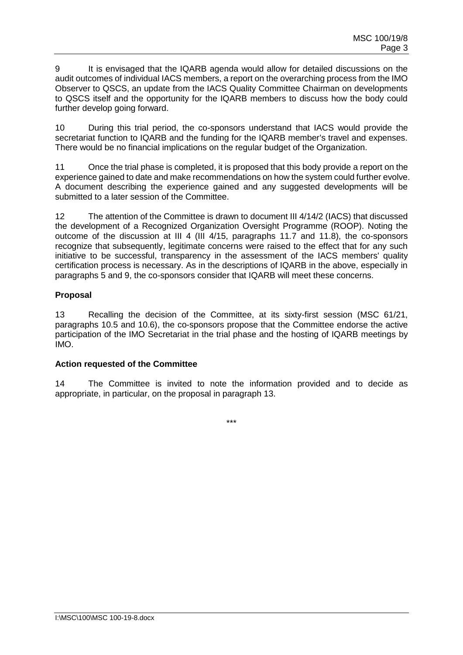9 It is envisaged that the IQARB agenda would allow for detailed discussions on the audit outcomes of individual IACS members, a report on the overarching process from the IMO Observer to QSCS, an update from the IACS Quality Committee Chairman on developments to QSCS itself and the opportunity for the IQARB members to discuss how the body could further develop going forward.

10 During this trial period, the co-sponsors understand that IACS would provide the secretariat function to IQARB and the funding for the IQARB member's travel and expenses. There would be no financial implications on the regular budget of the Organization.

11 Once the trial phase is completed, it is proposed that this body provide a report on the experience gained to date and make recommendations on how the system could further evolve. A document describing the experience gained and any suggested developments will be submitted to a later session of the Committee.

12 The attention of the Committee is drawn to document III 4/14/2 (IACS) that discussed the development of a Recognized Organization Oversight Programme (ROOP). Noting the outcome of the discussion at III 4 (III 4/15, paragraphs 11.7 and 11.8), the co-sponsors recognize that subsequently, legitimate concerns were raised to the effect that for any such initiative to be successful, transparency in the assessment of the IACS members' quality certification process is necessary. As in the descriptions of IQARB in the above, especially in paragraphs 5 and 9, the co-sponsors consider that IQARB will meet these concerns.

# **Proposal**

13 Recalling the decision of the Committee, at its sixty-first session (MSC 61/21, paragraphs 10.5 and 10.6), the co-sponsors propose that the Committee endorse the active participation of the IMO Secretariat in the trial phase and the hosting of IQARB meetings by IMO.

### **Action requested of the Committee**

14 The Committee is invited to note the information provided and to decide as appropriate, in particular, on the proposal in paragraph 13.

\*\*\*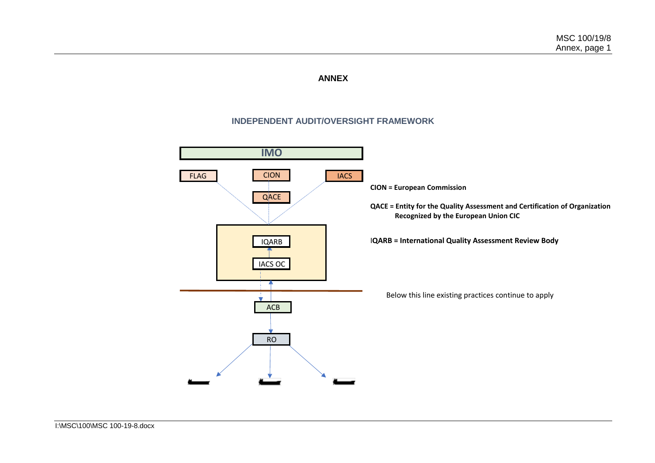#### **ANNEX**

## **INDEPENDENT AUDIT/OVERSIGHT FRAMEWORK**